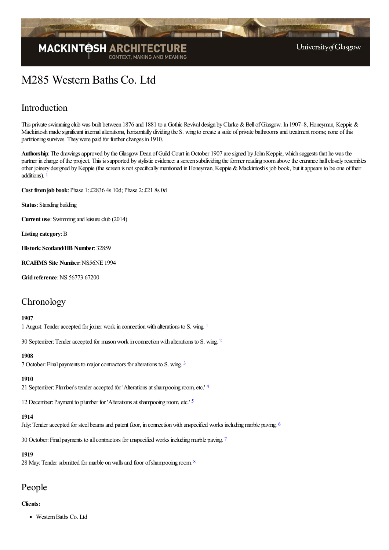

University of Glasgow

# M285 Western Baths Co. Ltd

### Introduction

This private swimming club was built between 1876 and 1881 to a Gothic Revival design by Clarke & Bell of Glasgow. In 1907–8, Honeyman, Keppie & Mackintosh made significant internal alterations, horizontally dividing the S. wing to create a suite of private bathrooms and treatment rooms; none of this partitioning survives. They were paid for further changes in 1910.

Authorship: The drawings approved by the Glasgow Dean of Guild Court in October 1907 are signed by John Keppie, which suggests that he was the partner in charge of the project. This is supported by stylistic evidence: a screen subdividing the former reading room above the entrance hall closely resembles other joinery designed by Keppie (the screen is not specifically mentioned in Honeyman, Keppie & Mackintosh's job book, but it appears to be one of their additions). [1](#page-4-0)

<span id="page-0-0"></span>**Cost fromjob book**:Phase 1: £2836 4s 10d; Phase 2: £21 8s 0d

**Status**: Standing building

**Current use:** Swimming and leisure club (2014)

**Listing category**:B

**Historic Scotland/HB Number**: 32859

**RCAHMS Site Number**:NS56NE 1994

**Grid reference: NS 56773 67200** 

### **Chronology**

#### **1907**

<span id="page-0-1"></span>[1](#page-4-1) August: Tender accepted for joiner work in connection with alterations to S. wing. <sup>1</sup>

30 September: Tender accepted for mason work in connection with alterations to S. wing. <sup>[2](#page-4-2)</sup>

#### <span id="page-0-3"></span><span id="page-0-2"></span>**1908**

7 October:Final payments to majorcontractors foralterations to S. wing. [3](#page-4-3)

#### <span id="page-0-4"></span>**1910**

21 September: Plumber's tender accepted for 'Alterations at shampooing room, etc.' [4](#page-4-4)

<span id="page-0-5"></span>12 December: Payment to plumber for 'Alterations at shampooing room, etc.' <sup>[5](#page-4-5)</sup>

#### <span id="page-0-6"></span>**1914**

July: Tender accepted for steel beams and patent floor, in connection with unspecified works including marble paving. <sup>[6](#page-4-6)</sup>

30 October: Final payments to all contractors for unspecified works including marble paving. [7](#page-4-7)

#### <span id="page-0-8"></span><span id="page-0-7"></span>**1919**

2[8](#page-4-8) May: Tender submitted for marble on walls and floor of shampooing room. 8

### People

#### **Clients:**

• Western Baths Co. Ltd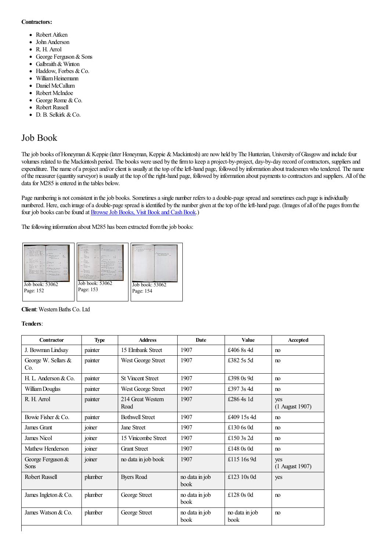#### **Contractors:**

- Robert Aitken
- John Anderson
- R. H. Arrol
- George Ferguson & Sons
- Galbraith& Winton  $\bullet$
- Haddow, Forbes & Co.  $\bullet$
- WilliamHeinemann  $\blacksquare$
- Daniel McCallum  $\bullet$
- $\bullet$ Robert McIndoe
- $\bullet$ George Rome & Co.
- Robert Russell
- D. B. Selkirk & Co.

### Job Book

The job books of Honeyman & Keppie (later Honeyman, Keppie & Mackintosh) are now held by The Hunterian, University of Glasgow and include four volumes related to the Mackintosh period. The books were used by the firm to keep a project-by-project, day-by-day record of contractors, suppliers and expenditure. The name of a project and/or client is usually at the top of the left-hand page, followed by information about tradesmen who tendered. The name ofthe measurer (quantity surveyor) is usually at thetop oftheright-hand page, followed by information about payments to contractorsand suppliers. All ofthe data for M285 is entered in the tables below.

Page numbering is not consistent in the job books. Sometimes a single number refers to a double-page spread and sometimes each page is individually numbered. Here, each image of a double-page spread is identified by the number given at the top of the left-hand page. (Images of all of the pages from the four job books can be found at Browse Job Books, Visit Book and Cash Book.)

The following information about M285 has been extracted from the job books:



**Client**: Western Baths Co. Ltd

#### **Tenders**:

| Contractor                         | <b>Type</b> | <b>Address</b>            | <b>Date</b>            | <b>Value</b>                  | Accepted               |
|------------------------------------|-------------|---------------------------|------------------------|-------------------------------|------------------------|
| J. Bowman Lindsay                  | painter     | 15 Elmbank Street         | 1907                   | £406 8s 4d                    | no                     |
| George W. Sellars &<br>Co.         | painter     | West George Street        | 1907                   | £382.5s.5d                    | n <sub>0</sub>         |
| H. L. Anderson & Co.               | painter     | <b>St Vincent Street</b>  | 1907                   | £398 0s 9d                    | no                     |
| William Douglas                    | painter     | West George Street        | 1907                   | £397 3s 4d                    | n <sub>o</sub>         |
| R. H. Arrol                        | painter     | 214 Great Western<br>Road | 1907                   | £286.4s $1d$                  | yes<br>(1 August 1907) |
| Bowie Fisher & Co.                 | painter     | <b>Bothwell Street</b>    | 1907                   | £409 15s 4d                   | n <sub>0</sub>         |
| James Grant                        | joiner      | Jane Street               | 1907                   | £130 $6s$ 0d                  | n <sub>0</sub>         |
| James Nicol                        | joiner      | 15 Vinicombe Street       | 1907                   | £150 3s 2d                    | no                     |
| Mathew Henderson                   | joiner      | <b>Grant Street</b>       | 1907                   | £148 $0s$ 0d                  | n <sub>0</sub>         |
| George Ferguson $&$<br><b>Sons</b> | joiner      | no data in job book       | 1907                   | £115 16s 9d                   | yes<br>(1 August 1907) |
| <b>Robert Russell</b>              | plumber     | <b>Byers Road</b>         | no data in job<br>book | £123 10s 0d                   | yes                    |
| James Ingleton & Co.               | plumber     | George Street             | no data in job<br>book | £128 $0s$ 0d                  | n <sub>0</sub>         |
| James Watson & Co.                 | plumber     | George Street             | no data in job<br>book | no data in job<br><b>book</b> | n <sub>0</sub>         |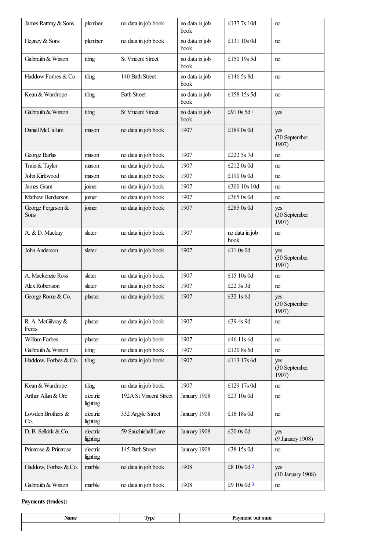<span id="page-2-0"></span>

| James Rattray & Sons        | plumber              | no data in job book      | no data in job<br>book | £1377s 10d             | no                            |
|-----------------------------|----------------------|--------------------------|------------------------|------------------------|-------------------------------|
| Hegney & Sons               | plumber              | no data in job book      | no data in job<br>book | £131 10s 0d            | no                            |
| Galbraith & Winton          | tiling               | <b>St Vincent Street</b> | no data in job<br>book | £150 19s 5d            | no                            |
| Haddow Forbes & Co.         | tiling               | 140 Bath Street          | no data in job<br>book | £146 5s 8d             | no                            |
| Kean & Wardrope             | tiling               | <b>Bath Street</b>       | no data in job<br>book | £158 15s 5d            | no                            |
| Galbraith & Winton          | tiling               | <b>St Vincent Street</b> | no data in job<br>book | £91 0s 5d 1            | yes                           |
| Daniel McCallum             | mason                | no data in job book      | 1907                   | £189 0s 0d             | yes<br>(30 September<br>1907) |
| George Barlas               | mason                | no data in job book      | 1907                   | £222 5s 7d             | no                            |
| Train & Taylor              | mason                | no data in job book      | 1907                   | £212 0s 0d             | no                            |
| John Kirkwood               | mason                | no data in job book      | 1907                   | £190 0s 0d             | no                            |
| James Grant                 | joiner               | no data in job book      | 1907                   | £300 10s 10d           | no                            |
| Mathew Henderson            | joiner               | no data in job book      | 1907                   | £365 0s 0d             | no                            |
| George Ferguson &<br>Sons   | joiner               | no data in job book      | 1907                   | £285 0s 0d             | yes<br>(30 September<br>1907) |
| A. & D. Mackay              | slater               | no data in job book      | 1907                   | no data in job<br>book | no                            |
| John Anderson               | slater               | no data in job book      | 1907                   | £11 0s 0d              | yes<br>(30 September<br>1907) |
| A. Mackenzie Ross           | slater               | no data in job book      | 1907                   | £15 10s 0d             | no                            |
| Alex Robertson              | slater               | no data in job book      | 1907                   | £22 3s 3d              | no                            |
| George Rome & Co.           | plaster              | no data in job book      | 1907                   | £32 1s 6d              | yes<br>(30 September<br>1907) |
| R. A. McGilvray &<br>Ferris | plaster              | no data in job book      | 1907                   | £39 4s 9d              | no                            |
| William Forbes              | plaster              | no data in job book      | 1907                   | £46 11s 6d             | no                            |
| Galbraith & Winton          | tiling               | no data in job book      | 1907                   | £120 8s 6d             | no                            |
| Haddow, Forbes & Co.        | tiling               | no data in job book      | 1907                   | £113 17s 6d            | yes<br>(30 September<br>1907) |
| Kean & Wardrope             | tiling               | no data in job book      | 1907                   | £129 17s 0d            | no                            |
| Arthur Allan & Ure          | electric<br>lighting | 192A St Vincent Street   | January 1908           | £23 10s 0d             | no                            |
| Lowden Brothers &<br>Co.    | electric<br>lighting | 332 Argyle Street        | January 1908           | £16 18s 0d             | no                            |
| D. B. Selkirk & Co.         | electric<br>lighting | 59 Sauchiehall Lane      | January 1908           | £20 0s 0d              | yes<br>(9 January 1908)       |
| Primose & Primose           | electric<br>lighting | 145 Bath Street          | January 1908           | £38 15s 0d             | no                            |
| Haddow, Forbes & Co.        | marble               | no data in job book      | 1908                   | £8 10s 0d 2            | yes<br>(10 January 1908)      |
| Galbraith & Winton          | marble               | no data in job book      | 1908                   | £9 10s 0d 3            | no                            |

### **Payments (trades):**

<span id="page-2-2"></span><span id="page-2-1"></span>

|  | <br>. |
|--|-------|
|  |       |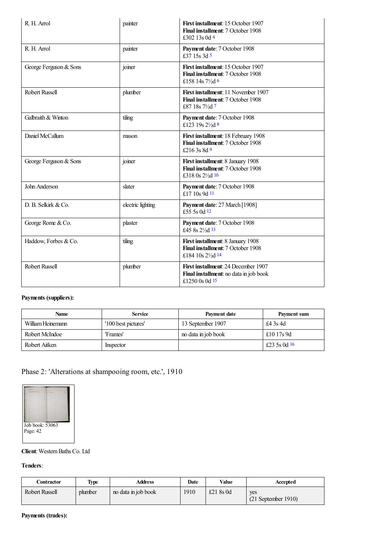<span id="page-3-5"></span><span id="page-3-4"></span><span id="page-3-3"></span><span id="page-3-2"></span><span id="page-3-1"></span><span id="page-3-0"></span>

| R. H. Arrol            | painter           | First installment: 15 October 1907<br>Final installment: 7 October 1908<br>£302 13s 0d 4                 |  |
|------------------------|-------------------|----------------------------------------------------------------------------------------------------------|--|
| R. H. Arrol            | painter           | Payment date: 7 October 1908<br>£37 15s 3d 5                                                             |  |
| George Ferguson & Sons | joiner            | First installment: 15 October 1907<br>Final installment: 7 October 1908<br>£158 14s $7\frac{1}{2}$ d 6   |  |
| <b>Robert Russell</b>  | plumber           | First installment: 11 November 1907<br>Final installment: 7 October 1908<br>£87 18s 71/2d 7              |  |
| Galbraith & Winton     | tiling            | Payment date: 7 October 1908<br>£123 19s $2\frac{1}{2}d$ 8                                               |  |
| Daniel McCallum        | mason             | First installment: 18 February 1908<br>Final installment: 7 October 1908<br>£216 3s 8d 9                 |  |
| George Ferguson & Sons | joiner            | First installment: 8 January 1908<br>Final installment: 7 October 1908<br>£318 0s 21/2d 10               |  |
| John Anderson          | slater            | Payment date: 7 October 1908<br>£17 10s 9d 11                                                            |  |
| D. B. Selkirk & Co.    | electric lighting | Payment date: 27 March [1908]<br>£55 5s 0d 12                                                            |  |
| George Rome & Co.      | plaster           | Payment date: 7 October 1908<br>£45 8s 21/2d 13                                                          |  |
| Haddow, Forbes & Co.   | tiling            | First installment: 8 January 1908<br>Final installment: 7 October 1908<br>£184 10s 21/2d 14              |  |
| <b>Robert Russell</b>  | plumber           | <b>First installment: 24 December 1907</b><br>Final installment: no data in job book<br>£1250 0s 0d $15$ |  |

#### <span id="page-3-11"></span><span id="page-3-10"></span><span id="page-3-9"></span><span id="page-3-8"></span><span id="page-3-7"></span><span id="page-3-6"></span>**Payments (suppliers):**

<span id="page-3-12"></span>

| Name              | <b>Service</b>      | Payment date        | Payment sum    |
|-------------------|---------------------|---------------------|----------------|
| William Heinemann | '100 best pictures' | 13 September 1907   | £4 3s 4d       |
| Robert McIndoe    | 'Frames'            | no data in job book | £10 17s 9d     |
| Robert Aitken     | Inspector           |                     | £23 5s 0d $16$ |

### Phase 2: 'Alterations at shampooing room, etc.', 1910



#### **Client:** Western Baths Co. Ltd

#### **Tenders**:

| Contractor     | <b>Type</b> | <b>Address</b>      | Date | Value       | Accepted                     |
|----------------|-------------|---------------------|------|-------------|------------------------------|
| Robert Russell | plumber     | no data in job book | 1910 | £21 $8s$ 0d | yes<br>$(21$ September 1910) |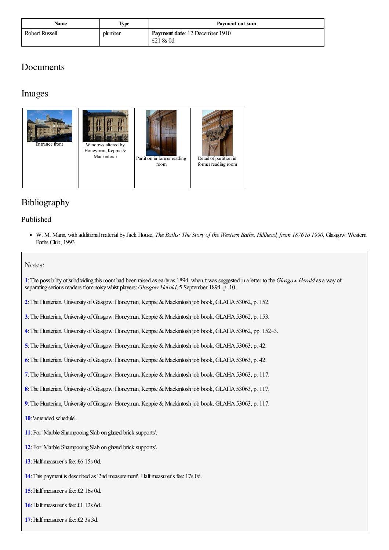| Name           | Type    | Payment out sum                                    |
|----------------|---------|----------------------------------------------------|
| Robert Russell | plumber | <b>Payment date: 12 December 1910</b><br>£21 8s 0d |

### Documents

### Images







Detail of [partition](http://www.mackintosh-architecture.gla.ac.uk/catalogue/images/?filename=c292_004) in former reading room

## Bibliography

### Published

• W. M. Mann, with additional material by Jack House, *The Baths: The Story of the Western Baths, Hillhead, from 1876 to 1990*, Glasgow: Western Baths Club, 1993

#### Notes:

<span id="page-4-0"></span>**[1](#page-0-0)**:The possibility ofsubdividing this roomhad been raised asearly as 1894, when it was suggested in aletter to the *Glasgow Herald* asa way of separating serious readers fromnoisywhist players:*Glasgow Herald*, 5 September 1894. p. 10.

- <span id="page-4-1"></span>[2](#page-0-1): The Hunterian, University of Glasgow: Honeyman, Keppie & Mackintosh job book, GLAHA 53062, p. 152.
- <span id="page-4-2"></span>**[3](#page-0-2)**: The Hunterian, University of Glasgow: Honeyman, Keppie & Mackintosh job book, GLAHA 53062, p. 153.
- <span id="page-4-3"></span>[4](#page-0-3): The Hunterian, University of Glasgow: Honeyman, Keppie & Mackintosh job book, GLAHA 53062, pp. 152–3.
- <span id="page-4-4"></span>[5](#page-0-4): The Hunterian, University of Glasgow: Honeyman, Keppie & Mackintosh job book, GLAHA 53063, p. 42.
- <span id="page-4-5"></span>[6](#page-0-5): The Hunterian, University of Glasgow: Honeyman, Keppie & Mackintosh job book, GLAHA 53063, p. 42.
- <span id="page-4-6"></span>[7](#page-0-6): The Hunterian, University of Glasgow: Honeyman, Keppie & Mackintosh job book, GLAHA 53063, p. 117.
- <span id="page-4-7"></span>[8](#page-0-7): The Hunterian, University of Glasgow: Honeyman, Keppie & Mackintosh job book, GLAHA 53063, p. 117.
- <span id="page-4-8"></span>[9](#page-0-8): The Hunterian, University of Glasgow: Honeyman, Keppie & Mackintosh job book, GLAHA 53063, p. 117.
- <span id="page-4-9"></span>**[10](#page-2-0)**:'amended schedule'.
- <span id="page-4-10"></span>**[11](#page-2-1)**: For 'Marble Shampooing Slab on glazed brick supports'.
- <span id="page-4-11"></span>**[12](#page-2-2)**: For 'Marble Shanpooing Slab on glazed brick supports'.
- <span id="page-4-12"></span>**[13](#page-3-0)**: Half measurer's fee: £6 15s 0d.
- <span id="page-4-13"></span>[14](#page-3-1): This payment is described as '2nd measurement'. Half measurer's fee: 17s 0d.
- <span id="page-4-14"></span>**[15](#page-3-2)**:Halfmeasurer's fee: £2 16s 0d.
- <span id="page-4-15"></span>**[16](#page-3-3)**:Halfmeasurer's fee: £1 12s 6d.
- <span id="page-4-16"></span>[17](#page-3-4): Half measurer's fee: £2 3s 3d.